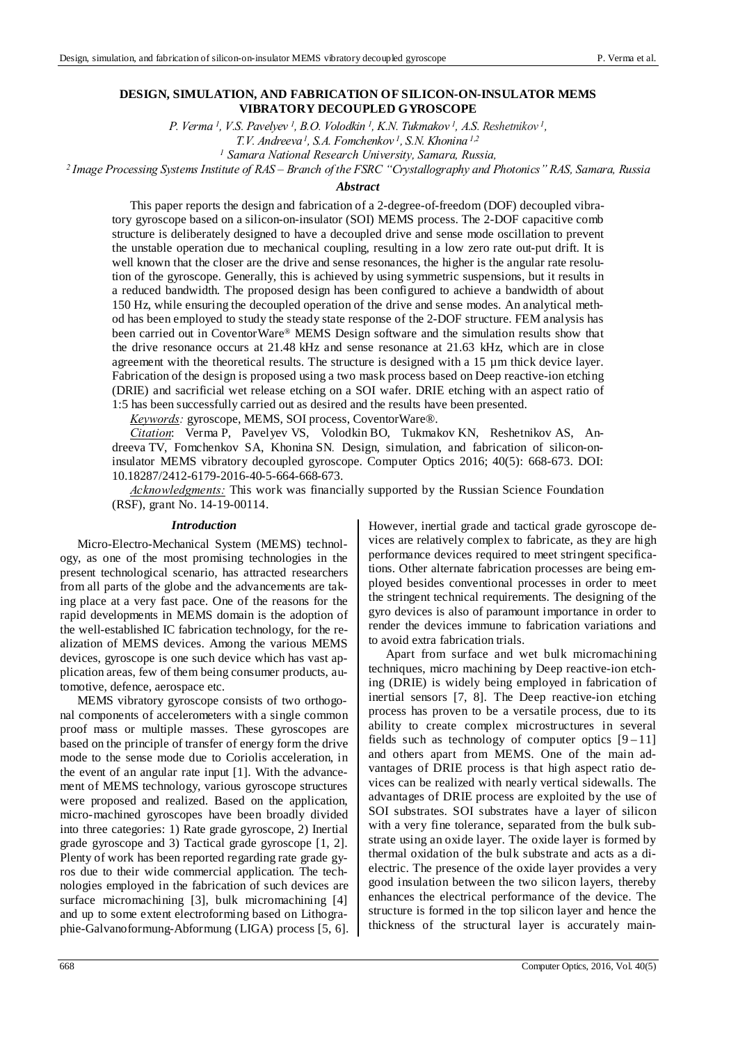# **DESIGN, SIMULATION, AND FABRICATION OF SILICON-ON-INSULATOR MEMS VIBRATORY DECOUPLED GYROSCOPE**

*P. Verma 1, V.S. Pavelyev 1, B.O. Volodkin 1, K.N. Tukmakov 1, A.S. Reshetnikov 1,* 

*T.V. Andreeva 1, S.A. Fomchenkov 1, S.N. Khonina 1,2*

*1 Samara National Research University, Samara, Russia, 2 Image Processing Systems Institute оf RAS – Branch of the FSRC "Crystallography and Photonics" RAS, Samara, Russia* 

#### *Abstract*

This paper reports the design and fabrication of a 2-degree-of-freedom (DOF) decoupled vibratory gyroscope based on a silicon-on-insulator (SOI) MEMS process. The 2-DOF capacitive comb structure is deliberately designed to have a decoupled drive and sense mode oscillation to prevent the unstable operation due to mechanical coupling, resulting in a low zero rate out-put drift. It is well known that the closer are the drive and sense resonances, the higher is the angular rate resolution of the gyroscope. Generally, this is achieved by using symmetric suspensions, but it results in a reduced bandwidth. The proposed design has been configured to achieve a bandwidth of about 150 Hz, while ensuring the decoupled operation of the drive and sense modes. An analytical method has been employed to study the steady state response of the 2-DOF structure. FEM analysis has been carried out in CoventorWare® MEMS Design software and the simulation results show that the drive resonance occurs at 21.48 kHz and sense resonance at 21.63 kHz, which are in close agreement with the theoretical results. The structure is designed with a 15  $\mu$ m thick device layer. Fabrication of the design is proposed using a two mask process based on Deep reactive-ion etching (DRIE) and sacrificial wet release etching on a SOI wafer. DRIE etching with an aspect ratio of 1:5 has been successfully carried out as desired and the results have been presented.

*Keywords:* gyroscope, MEMS, SOI process, CoventorWare®.

*Citation*: Verma P, Pavelyev VS, Volodkin BO, Tukmakov KN, Reshetnikov AS, Andreeva TV, Fomchenkov SA, Khonina SN*.* Design, simulation, and fabrication of silicon-oninsulator MEMS vibratory decoupled gyroscope. Computer Optics 2016; 40(5): 668-673. DOI: 10.18287/2412-6179-2016-40-5-664-668-673.

*Acknowledgments:* This work was financially supported by the Russian Science Foundation (RSF), grant No. 14-19-00114.

### *Introduction*

Micro-Electro-Mechanical System (MEMS) technology, as one of the most promising technologies in the present technological scenario, has attracted researchers from all parts of the globe and the advancements are taking place at a very fast pace. One of the reasons for the rapid developments in MEMS domain is the adoption of the well-established IC fabrication technology, for the realization of MEMS devices. Among the various MEMS devices, gyroscope is one such device which has vast application areas, few of them being consumer products, automotive, defence, aerospace etc.

MEMS vibratory gyroscope consists of two orthogonal components of accelerometers with a single common proof mass or multiple masses. These gyroscopes are based on the principle of transfer of energy form the drive mode to the sense mode due to Coriolis acceleration, in the event of an angular rate input [1]. With the advancement of MEMS technology, various gyroscope structures were proposed and realized. Based on the application, micro-machined gyroscopes have been broadly divided into three categories: 1) Rate grade gyroscope, 2) Inertial grade gyroscope and 3) Tactical grade gyroscope [1, 2]. Plenty of work has been reported regarding rate grade gyros due to their wide commercial application. The technologies employed in the fabrication of such devices are surface micromachining [3], bulk micromachining [4] and up to some extent electroforming based on Lithographie-Galvanoformung-Abformung (LIGA) process [5, 6]. However, inertial grade and tactical grade gyroscope devices are relatively complex to fabricate, as they are high performance devices required to meet stringent specifications. Other alternate fabrication processes are being employed besides conventional processes in order to meet the stringent technical requirements. The designing of the gyro devices is also of paramount importance in order to render the devices immune to fabrication variations and to avoid extra fabrication trials.

Apart from surface and wet bulk micromachining techniques, micro machining by Deep reactive-ion etching (DRIE) is widely being employed in fabrication of inertial sensors [7, 8]. The Deep reactive-ion etching process has proven to be a versatile process, due to its ability to create complex microstructures in several fields such as technology of computer optics  $[9-11]$ and others apart from MEMS. One of the main advantages of DRIE process is that high aspect ratio devices can be realized with nearly vertical sidewalls. The advantages of DRIE process are exploited by the use of SOI substrates. SOI substrates have a layer of silicon with a very fine tolerance, separated from the bulk substrate using an oxide layer. The oxide layer is formed by thermal oxidation of the bulk substrate and acts as a dielectric. The presence of the oxide layer provides a very good insulation between the two silicon layers, thereby enhances the electrical performance of the device. The structure is formed in the top silicon layer and hence the thickness of the structural layer is accurately main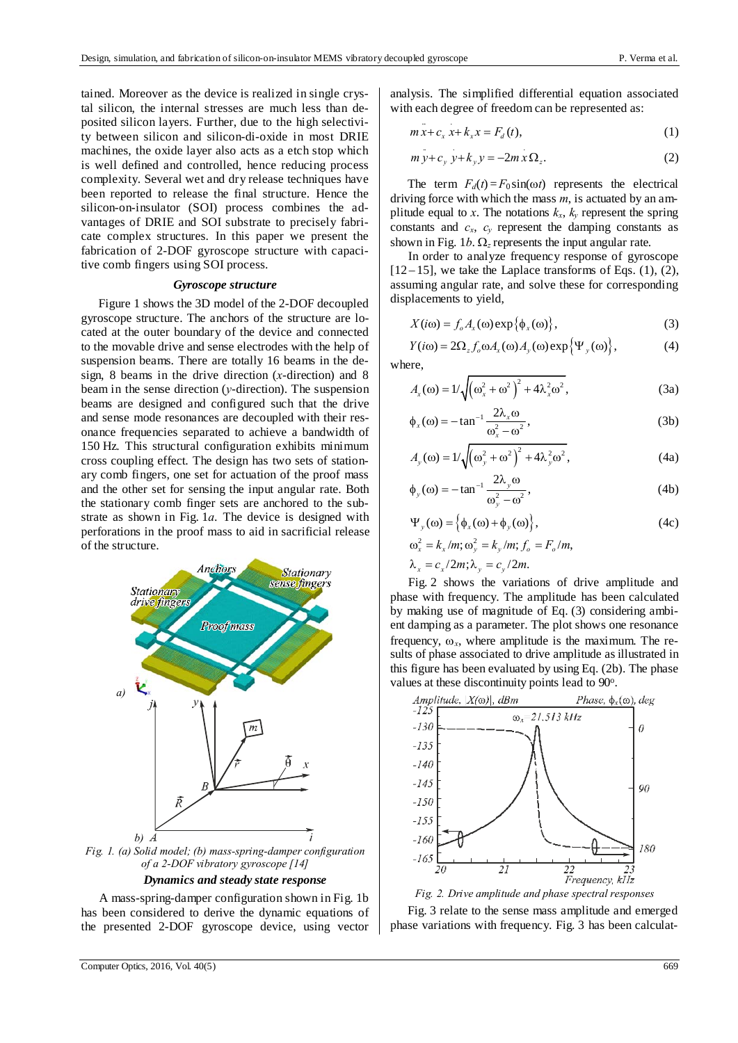tained. Moreover as the device is realized in single crystal silicon, the internal stresses are much less than deposited silicon layers. Further, due to the high selectivity between silicon and silicon-di-oxide in most DRIE machines, the oxide layer also acts as a etch stop which is well defined and controlled, hence reducing process complexity. Several wet and dry release techniques have been reported to release the final structure. Hence the silicon-on-insulator (SOI) process combines the advantages of DRIE and SOI substrate to precisely fabricate complex structures. In this paper we present the fabrication of 2-DOF gyroscope structure with capacitive comb fingers using SOI process.

# *Gyroscope structure*

Figure 1 shows the 3D model of the 2-DOF decoupled gyroscope structure. The anchors of the structure are located at the outer boundary of the device and connected to the movable drive and sense electrodes with the help of suspension beams. There are totally 16 beams in the design, 8 beams in the drive direction (*x*-direction) and 8 beam in the sense direction (*y*-direction). The suspension beams are designed and configured such that the drive and sense mode resonances are decoupled with their resonance frequencies separated to achieve a bandwidth of 150 Hz. This structural configuration exhibits minimum cross coupling effect. The design has two sets of stationary comb fingers, one set for actuation of the proof mass and the other set for sensing the input angular rate. Both the stationary comb finger sets are anchored to the substrate as shown in Fig. 1*a*. The device is designed with perforations in the proof mass to aid in sacrificial release of the structure.



*Dynamics and steady state response* 

A mass-spring-damper configuration shown in Fig. 1b has been considered to derive the dynamic equations of the presented 2-DOF gyroscope device, using vector analysis. The simplified differential equation associated with each degree of freedom can be represented as:

$$
m\ddot{x} + c_x x + k_x x = F_d(t),
$$
 (1)

$$
m y + c_y y + k_y y = -2mx \Omega_z.
$$
 (2)

The term  $F_d(t) = F_0 \sin(\omega t)$  represents the electrical driving force with which the mass *m*, is actuated by an amplitude equal to *x*. The notations  $k_x$ ,  $k_y$  represent the spring constants and  $c_x$ ,  $c_y$  represent the damping constants as shown in Fig. 1*b*.  $\Omega$ <sub>z</sub> represents the input angular rate.

In order to analyze frequency response of gyroscope  $[12-15]$ , we take the Laplace transforms of Eqs. (1), (2), assuming angular rate, and solve these for corresponding displacements to yield,

$$
X(i\omega) = f_o A_x(\omega) \exp{\{\phi_x(\omega)\}},
$$
 (3)

 $Y(i\omega) = 2\Omega_z f_o \omega A_x(\omega) A_y(\omega) \exp{\Psi_y(\omega)},$  (4) where,

$$
A_x(\omega) = 1/\sqrt{\left(\omega_x^2 + \omega^2\right)^2 + 4\lambda_x^2 \omega^2},\tag{3a}
$$

$$
\phi_x(\omega) = -\tan^{-1}\frac{2\lambda_x \omega}{\omega_x^2 - \omega^2},\tag{3b}
$$

$$
A_y(\omega) = 1/\sqrt{\left(\omega_y^2 + \omega^2\right)^2 + 4\lambda_y^2 \omega^2},\tag{4a}
$$

$$
\phi_y(\omega) = -\tan^{-1}\frac{2\lambda_y \omega}{\omega_y^2 - \omega^2},\tag{4b}
$$

$$
\Psi_{y}(\omega) = \left\{ \phi_{x}(\omega) + \phi_{y}(\omega) \right\},\tag{4c}
$$

$$
\omega_x^2 = k_x/m; \omega_y^2 = k_y/m; f_o = F_o/m,
$$
  

$$
\lambda_x = c_x/2m; \lambda_y = c_y/2m.
$$

Fig. 2 shows the variations of drive amplitude and phase with frequency. The amplitude has been calculated by making use of magnitude of Eq. (3) considering ambient damping as a parameter. The plot shows one resonance frequency,  $\omega_x$ , where amplitude is the maximum. The results of phase associated to drive amplitude as illustrated in this figure has been evaluated by using Eq. (2b). The phase values at these discontinuity points lead to 90°.



Fig. 3 relate to the sense mass amplitude and emerged phase variations with frequency. Fig. 3 has been calculat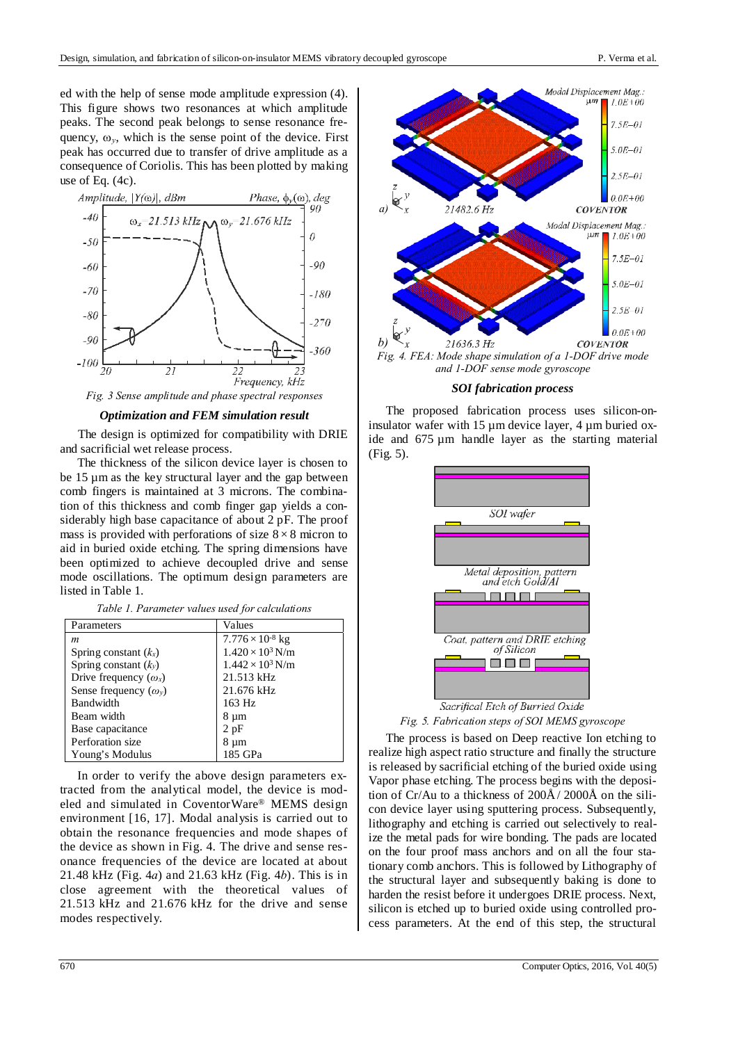ed with the help of sense mode amplitude expression (4). This figure shows two resonances at which amplitude peaks. The second peak belongs to sense resonance frequency,  $\omega_y$ , which is the sense point of the device. First peak has occurred due to transfer of drive amplitude as a consequence of Coriolis. This has been plotted by making use of Eq. (4c).



*Optimization and FEM simulation result* 

The design is optimized for compatibility with DRIE and sacrificial wet release process.

The thickness of the silicon device layer is chosen to be 15 µm as the key structural layer and the gap between comb fingers is maintained at 3 microns. The combination of this thickness and comb finger gap yields a considerably high base capacitance of about 2 pF. The proof mass is provided with perforations of size  $8 \times 8$  micron to aid in buried oxide etching. The spring dimensions have been optimized to achieve decoupled drive and sense mode oscillations. The optimum design parameters are listed in Table 1.

| Table 1. Parameter values used for calculations |  |  |  |  |  |
|-------------------------------------------------|--|--|--|--|--|
|-------------------------------------------------|--|--|--|--|--|

| Parameters                   | Values                    |  |
|------------------------------|---------------------------|--|
| m                            | $7.776 \times 10^{-8}$ kg |  |
| Spring constant $(k_x)$      | $1.420 \times 10^3$ N/m   |  |
| Spring constant $(k_v)$      | $1.442 \times 10^3$ N/m   |  |
| Drive frequency $(\omega_x)$ | 21.513 kHz                |  |
| Sense frequency $(\omega_v)$ | 21.676 kHz                |  |
| Bandwidth                    | 163 Hz                    |  |
| Beam width                   | 8 µm                      |  |
| Base capacitance             | 2pF                       |  |
| Perforation size             | 8 µm                      |  |
| Young's Modulus              | 185 GPa                   |  |

In order to verify the above design parameters extracted from the analytical model, the device is modeled and simulated in CoventorWare® MEMS design environment [16, 17]. Modal analysis is carried out to obtain the resonance frequencies and mode shapes of the device as shown in Fig. 4. The drive and sense resonance frequencies of the device are located at about 21.48 kHz (Fig. 4*a*) and 21.63 kHz (Fig. 4*b*). This is in close agreement with the theoretical values of 21.513 kHz and 21.676 kHz for the drive and sense modes respectively.



*and 1-DOF sense mode gyroscope* 

#### *SOI fabrication process*

The proposed fabrication process uses silicon-oninsulator wafer with 15  $\mu$ m device layer, 4  $\mu$ m buried oxide and 675 µm handle layer as the starting material (Fig. 5).



*Fig. 5. Fabrication steps of SOI MEMS gyroscope* 

The process is based on Deep reactive Ion etching to realize high aspect ratio structure and finally the structure is released by sacrificial etching of the buried oxide using Vapor phase etching. The process begins with the deposition of Cr/Au to a thickness of 200Å/ 2000Å on the silicon device layer using sputtering process. Subsequently, lithography and etching is carried out selectively to realize the metal pads for wire bonding. The pads are located on the four proof mass anchors and on all the four stationary comb anchors. This is followed by Lithography of the structural layer and subsequently baking is done to harden the resist before it undergoes DRIE process. Next, silicon is etched up to buried oxide using controlled process parameters. At the end of this step, the structural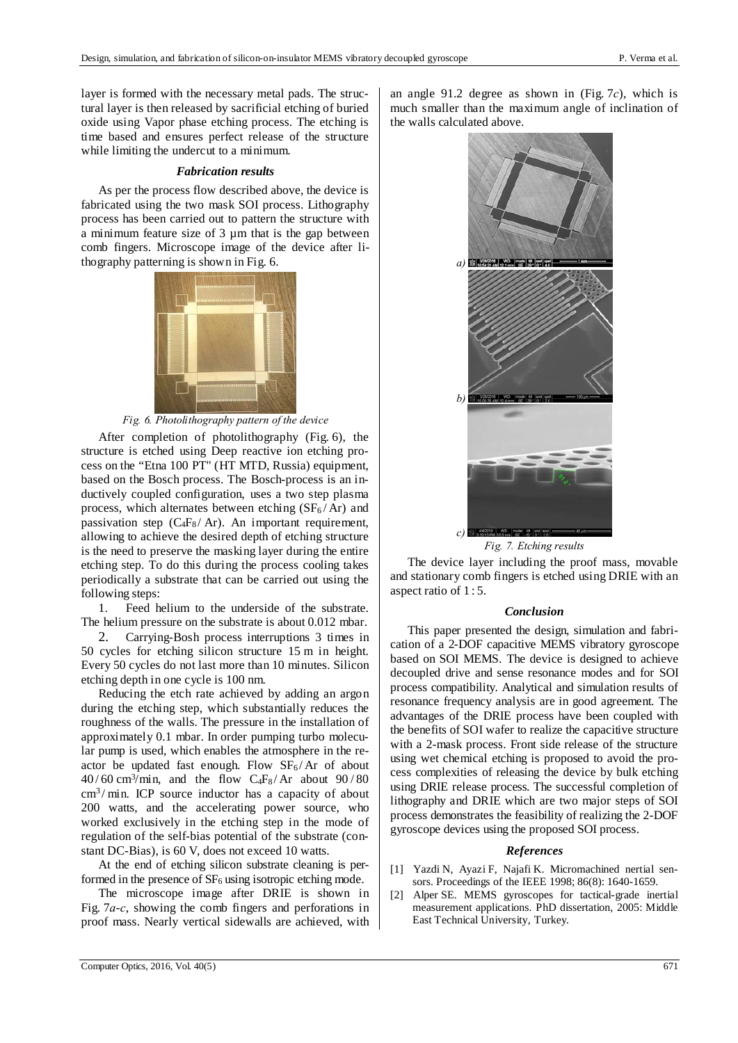layer is formed with the necessary metal pads. The structural layer is then released by sacrificial etching of buried oxide using Vapor phase etching process. The etching is time based and ensures perfect release of the structure while limiting the undercut to a minimum.

#### *Fabrication results*

As per the process flow described above, the device is fabricated using the two mask SOI process. Lithography process has been carried out to pattern the structure with a minimum feature size of 3 µm that is the gap between comb fingers. Microscope image of the device after lithography patterning is shown in Fig. 6.



*Fig. 6. Photolithography pattern of the device* 

After completion of photolithography (Fig. 6), the structure is etched using Deep reactive ion etching process on the "Etna 100 PT" (HT MTD, Russia) equipment, based on the Bosch process. The Bosch-process is an inductively coupled configuration, uses a two step plasma process, which alternates between etching  $(SF_6 / Ar)$  and passivation step  $(C_4F_8/Ar)$ . An important requirement, allowing to achieve the desired depth of etching structure is the need to preserve the masking layer during the entire etching step. To do this during the process cooling takes periodically a substrate that can be carried out using the following steps:

1. Feed helium to the underside of the substrate. The helium pressure on the substrate is about 0.012 mbar.

2. Carrying-Bosh process interruptions 3 times in 50 cycles for etching silicon structure 15 m in height. Every 50 cycles do not last more than 10 minutes. Silicon etching depth in one cycle is 100 nm.

Reducing the etch rate achieved by adding an argon during the etching step, which substantially reduces the roughness of the walls. The pressure in the installation of approximately 0.1 mbar. In order pumping turbo molecular pump is used, which enables the atmosphere in the reactor be updated fast enough. Flow  $SF_6/Ar$  of about  $40/60$  cm<sup>3</sup>/min, and the flow C<sub>4</sub>F<sub>8</sub>/Ar about  $90/80$  $\text{cm}^3/\text{min}$ . ICP source inductor has a capacity of about 200 watts, and the accelerating power source, who worked exclusively in the etching step in the mode of regulation of the self-bias potential of the substrate (constant DC-Bias), is 60 V, does not exceed 10 watts.

At the end of etching silicon substrate cleaning is performed in the presence of  $SF<sub>6</sub>$  using isotropic etching mode.

The microscope image after DRIE is shown in Fig. 7*a*-*c*, showing the comb fingers and perforations in proof mass. Nearly vertical sidewalls are achieved, with

an angle 91.2 degree as shown in (Fig. 7*c*), which is much smaller than the maximum angle of inclination of the walls calculated above.



*Fig. 7. Etching results* 

The device layer including the proof mass, movable and stationary comb fingers is etched using DRIE with an aspect ratio of 1 : 5.

### *Conclusion*

This paper presented the design, simulation and fabrication of a 2-DOF capacitive MEMS vibratory gyroscope based on SOI MEMS. The device is designed to achieve decoupled drive and sense resonance modes and for SOI process compatibility. Analytical and simulation results of resonance frequency analysis are in good agreement. The advantages of the DRIE process have been coupled with the benefits of SOI wafer to realize the capacitive structure with a 2-mask process. Front side release of the structure using wet chemical etching is proposed to avoid the process complexities of releasing the device by bulk etching using DRIE release process. The successful completion of lithography and DRIE which are two major steps of SOI process demonstrates the feasibility of realizing the 2-DOF gyroscope devices using the proposed SOI process.

#### *References*

- [1] Yazdi N, Ayazi F, Najafi K. Micromachined nertial sensors. Proceedings of the IEEE 1998; 86(8): 1640-1659.
- [2] Alper SE. MEMS gyroscopes for tactical-grade inertial measurement applications. PhD dissertation, 2005: Middle East Technical University, Turkey.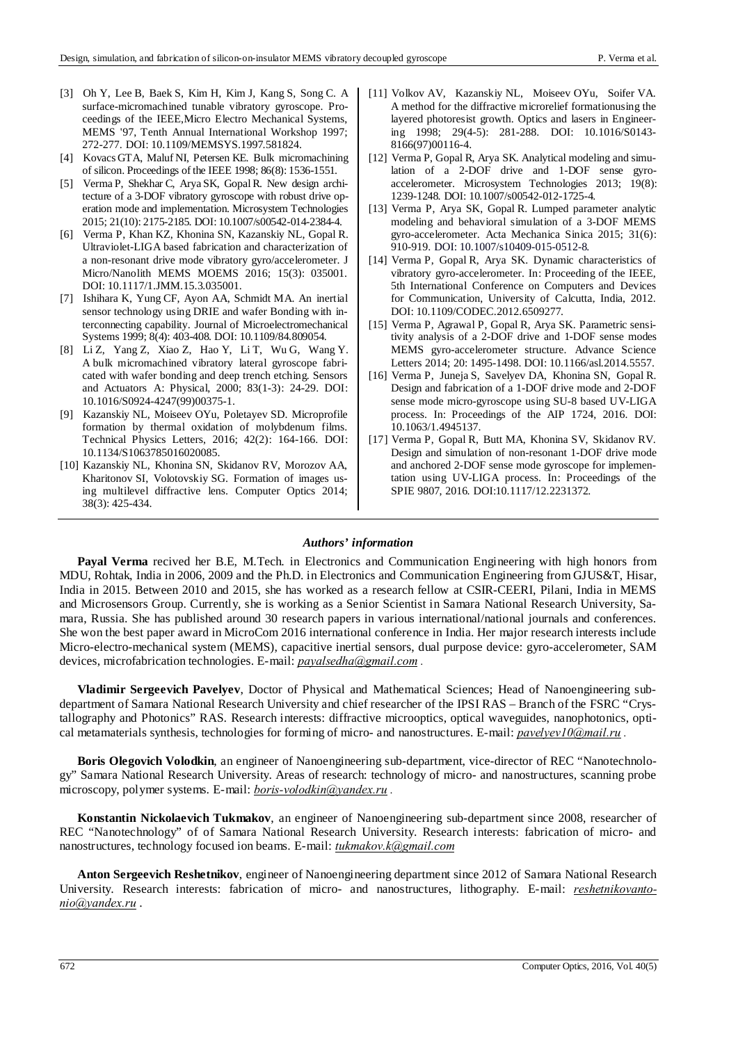- [3] Oh Y, Lee B, Baek S, Kim H, Kim J, Kang S, Song C. A surface-micromachined tunable vibratory gyroscope. Proceedings of the IEEE,Micro Electro Mechanical Systems, MEMS '97, Tenth Annual International Workshop 1997; 272-277. DOI: 10.1109/MEMSYS.1997.581824.
- [4] Kovacs GTA, Maluf NI, Petersen KE. Bulk micromachining of silicon. Proceedings of the IEEE 1998; 86(8): 1536-1551.
- [5] Verma P, Shekhar C, Arya SK, Gopal R. New design architecture of a 3-DOF vibratory gyroscope with robust drive operation mode and implementation. Microsystem Technologies 2015; 21(10): 2175-2185. DOI: 10.1007/s00542-014-2384-4.
- [6] Verma P, Khan KZ, Khonina SN, Kazanskiy NL, Gopal R. Ultraviolet-LIGA based fabrication and characterization of a non-resonant drive mode vibratory gyro/accelerometer. J Micro/Nanolith MEMS MOEMS 2016; 15(3): 035001. DOI: 10.1117/1.JMM.15.3.035001.
- [7] Ishihara K, Yung CF, Ayon AA, Schmidt MA. An inertial sensor technology using DRIE and wafer Bonding with interconnecting capability. Journal of Microelectromechanical Systems 1999; 8(4): 403-408. DOI: 10.1109/84.809054.
- [8] Li Z, Yang Z, Xiao Z, Hao Y, Li T, Wu G, Wang Y. A bulk micromachined vibratory lateral gyroscope fabricated with wafer bonding and deep trench etching. Sensors and Actuators A: Physical, 2000; 83(1-3): 24-29. DOI: 10.1016/S0924-4247(99)00375-1.
- [9] Kazanskiy NL, Moiseev OYu, Poletayev SD. Microprofile formation by thermal oxidation of molybdenum films. Technical Physics Letters, 2016; 42(2): 164-166. DOI: 10.1134/S1063785016020085.
- [10] Kazanskiy NL, Khonina SN, Skidanov RV, Morozov AA, Kharitonov SI, Volotovskiy SG. Formation of images using multilevel diffractive lens. Computer Optics 2014; 38(3): 425-434.
- [11] Volkov AV, Kazanskiy NL, Moiseev OYu, Soifer VA. A method for the diffractive microrelief formationusing the layered photoresist growth. Optics and lasers in Engineering 1998; 29(4-5): 281-288. DOI: 10.1016/S0143- 8166(97)00116-4.
- [12] Verma P, Gopal R, Arya SK. Analytical modeling and simulation of a 2-DOF drive and 1-DOF sense gyroaccelerometer. Microsystem Technologies 2013; 19(8): 1239-1248. DOI: 10.1007/s00542-012-1725-4.
- [13] Verma P, Arya SK, Gopal R. Lumped parameter analytic modeling and behavioral simulation of a 3-DOF MEMS gyro-accelerometer. Acta Mechanica Sinica 2015; 31(6): 910-919. DOI: 10.1007/s10409-015-0512-8.
- [14] Verma P, Gopal R, Arya SK. Dynamic characteristics of vibratory gyro-accelerometer. In: Proceeding of the IEEE, 5th International Conference on Computers and Devices for Communication, University of Calcutta, India, 2012. DOI: 10.1109/CODEC.2012.6509277.
- [15] Verma P, Agrawal P, Gopal R, Arya SK. Parametric sensitivity analysis of a 2-DOF drive and 1-DOF sense modes MEMS gyro-accelerometer structure. Advance Science Letters 2014; 20: 1495-1498. DOI: 10.1166/asl.2014.5557.
- [16] Verma P, Juneja S, Savelyev DA, Khonina SN, Gopal R. Design and fabrication of a 1-DOF drive mode and 2-DOF sense mode micro-gyroscope using SU-8 based UV-LIGA process. In: Proceedings of the AIP 1724, 2016. DOI: 10.1063/1.4945137.
- [17] Verma P, Gopal R, Butt MA, Khonina SV, Skidanov RV. Design and simulation of non-resonant 1-DOF drive mode and anchored 2-DOF sense mode gyroscope for implementation using UV-LIGA process. In: Proceedings of the SPIE 9807, 2016. DOI:10.1117/12.2231372.

## *Authors' information*

**Payal Verma** recived her B.E, M.Tech. in Electronics and Communication Engineering with high honors from MDU, Rohtak, India in 2006, 2009 and the Ph.D. in Electronics and Communication Engineering from GJUS&T, Hisar, India in 2015. Between 2010 and 2015, she has worked as a research fellow at CSIR-CEERI, Pilani, India in MEMS and Microsensors Group. Currently, she is working as a Senior Scientist in Samara National Research University, Samara, Russia. She has published around 30 research papers in various international/national journals and conferences. She won the best paper award in MicroCom 2016 international conference in India. Her major research interests include Micro-electro-mechanical system (MEMS), capacitive inertial sensors, dual purpose device: gyro-accelerometer, SAM devices, microfabrication technologies. E-mail: *payalsedha@gmail.com .* 

**Vladimir Sergeevich Pavelyev**, Doctor of Physical and Mathematical Sciences; Head of Nanoengineering subdepartment of Samara National Research University and chief researcher of the IPSI RAS – Branch of the FSRC "Crystallography and Photonics" RAS. Research interests: diffractive microoptics, optical waveguides, nanophotonics, optical metamaterials synthesis, technologies for forming of micro- and nanostructures. E-mail: *pavelyev10@mail.ru .*

**Boris Olegovich Volodkin**, an engineer of Nanoengineering sub-department, vice-director of REC "Nanotechnology" Samara National Research University. Areas of research: technology of micro- and nanostructures, scanning probe microscopy, polymer systems. E-mail: *boris-volodkin@yandex.ru .* 

**Konstantin Nickolaevich Tukmakov**, an engineer of Nanoengineering sub-department since 2008, researcher of REC "Nanotechnology" of of Samara National Research University. Research interests: fabrication of micro- and nanostructures, technology focused ion beams. E-mail: *tukmakov.k@gmail.com*

**Anton Sergeevich Reshetnikov**, engineer of Nanoengineering department since 2012 of Samara National Research University. Research interests: fabrication of micro- and nanostructures, lithography. E-mail: *reshetnikovantonio@yandex.ru* .